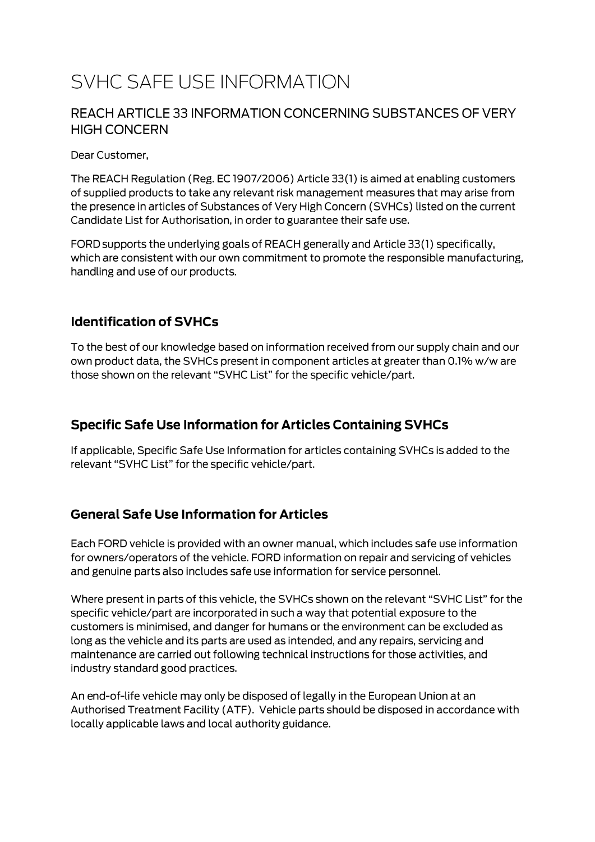# SVHC SAFE USE INFORMATION

#### REACH ARTICLE 33 INFORMATION CONCERNING SUBSTANCES OF VERY **HIGH CONCERN**

Dear Customer,

The REACH Regulation (Reg. EC 1907/2006) Article 33(1) is aimed at enabling customers of supplied products to take any relevant risk management measures that may arise from the presence in articles of Substances of Very High Concern (SVHCs) listed on the current Candidate List for Authorisation, in order to guarantee their safe use.

FORD supports the underlying goals of REACH generally and Article 33(1) specifically, which are consistent with our own commitment to promote the responsible manufacturing, handling and use of our products.

#### **Identification of SVHCs**

To the best of our knowledge based on information received from our supply chain and our own product data, the SVHCs present in component articles at greater than 0.1% w/w are those shown on the relevant "SVHC List" for the specific vehicle/part.

### **Specific Safe Use Information for Articles Containing SVHCs**

If applicable, Specific Safe Use Information for articles containing SVHCs is added to the relevant "SVHC List" for the specific vehicle/part.

#### **General Safe Use Information for Articles**

Each FORD vehicle is provided with an owner manual, which includes safe use information for owners/operators of the vehicle. FORD information on repair and servicing of vehicles and genuine parts also includes safe use information for service personnel.

Where present in parts of this vehicle, the SVHCs shown on the relevant "SVHC List" for the specific vehicle/part are incorporated in such a way that potential exposure to the customers is minimised, and danger for humans or the environment can be excluded as long as the vehicle and its parts are used as intended, and any repairs, servicing and maintenance are carried out following technical instructions for those activities, and industry standard good practices.

An end-of-life vehicle may only be disposed of legally in the European Union at an Authorised Treatment Facility (ATF). Vehicle parts should be disposed in accordance with locally applicable laws and local authority guidance.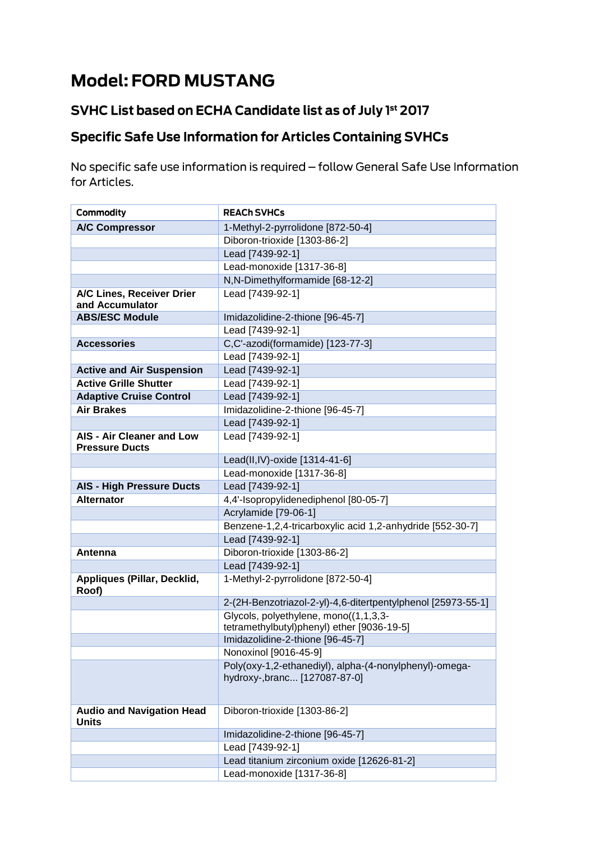# **Model: FORD MUSTANG**

## SVHC List based on ECHA Candidate list as of July 1st 2017

# **Specific Safe Use Information for Articles Containing SVHCs**

No specific safe use information is required - follow General Safe Use Information for Articles.

| Commodity                                        | <b>REACH SVHCs</b>                                                                     |
|--------------------------------------------------|----------------------------------------------------------------------------------------|
| <b>A/C Compressor</b>                            | 1-Methyl-2-pyrrolidone [872-50-4]                                                      |
|                                                  | Diboron-trioxide [1303-86-2]                                                           |
|                                                  | Lead [7439-92-1]                                                                       |
|                                                  | Lead-monoxide [1317-36-8]                                                              |
|                                                  | N,N-Dimethylformamide [68-12-2]                                                        |
| A/C Lines, Receiver Drier                        | Lead [7439-92-1]                                                                       |
| and Accumulator                                  |                                                                                        |
| <b>ABS/ESC Module</b>                            | Imidazolidine-2-thione [96-45-7]                                                       |
|                                                  | Lead [7439-92-1]                                                                       |
| <b>Accessories</b>                               | C,C'-azodi(formamide) [123-77-3]                                                       |
|                                                  | Lead [7439-92-1]                                                                       |
| <b>Active and Air Suspension</b>                 | Lead [7439-92-1]                                                                       |
| <b>Active Grille Shutter</b>                     | Lead [7439-92-1]                                                                       |
| <b>Adaptive Cruise Control</b>                   | Lead [7439-92-1]                                                                       |
| <b>Air Brakes</b>                                | Imidazolidine-2-thione [96-45-7]                                                       |
|                                                  | Lead [7439-92-1]                                                                       |
| AIS - Air Cleaner and Low                        | Lead [7439-92-1]                                                                       |
| <b>Pressure Ducts</b>                            |                                                                                        |
|                                                  | Lead(II,IV)-oxide [1314-41-6]                                                          |
|                                                  | Lead-monoxide [1317-36-8]                                                              |
| <b>AIS - High Pressure Ducts</b>                 | Lead [7439-92-1]                                                                       |
| <b>Alternator</b>                                | 4,4'-Isopropylidenediphenol [80-05-7]                                                  |
|                                                  | Acrylamide [79-06-1]                                                                   |
|                                                  | Benzene-1,2,4-tricarboxylic acid 1,2-anhydride [552-30-7]                              |
|                                                  | Lead [7439-92-1]                                                                       |
| Antenna                                          | Diboron-trioxide [1303-86-2]                                                           |
|                                                  | Lead [7439-92-1]                                                                       |
| Appliques (Pillar, Decklid,<br>Roof)             | 1-Methyl-2-pyrrolidone [872-50-4]                                                      |
|                                                  | 2-(2H-Benzotriazol-2-yl)-4,6-ditertpentylphenol [25973-55-1]                           |
|                                                  | Glycols, polyethylene, mono((1,1,3,3-                                                  |
|                                                  | tetramethylbutyl)phenyl) ether [9036-19-5]                                             |
|                                                  | Imidazolidine-2-thione [96-45-7]                                                       |
|                                                  | Nonoxinol [9016-45-9]                                                                  |
|                                                  | Poly(oxy-1,2-ethanediyl), alpha-(4-nonylphenyl)-omega-<br>hydroxy-,branc [127087-87-0] |
|                                                  |                                                                                        |
| <b>Audio and Navigation Head</b><br><b>Units</b> | Diboron-trioxide [1303-86-2]                                                           |
|                                                  | Imidazolidine-2-thione [96-45-7]                                                       |
|                                                  | Lead [7439-92-1]                                                                       |
|                                                  | Lead titanium zirconium oxide [12626-81-2]                                             |
|                                                  | Lead-monoxide [1317-36-8]                                                              |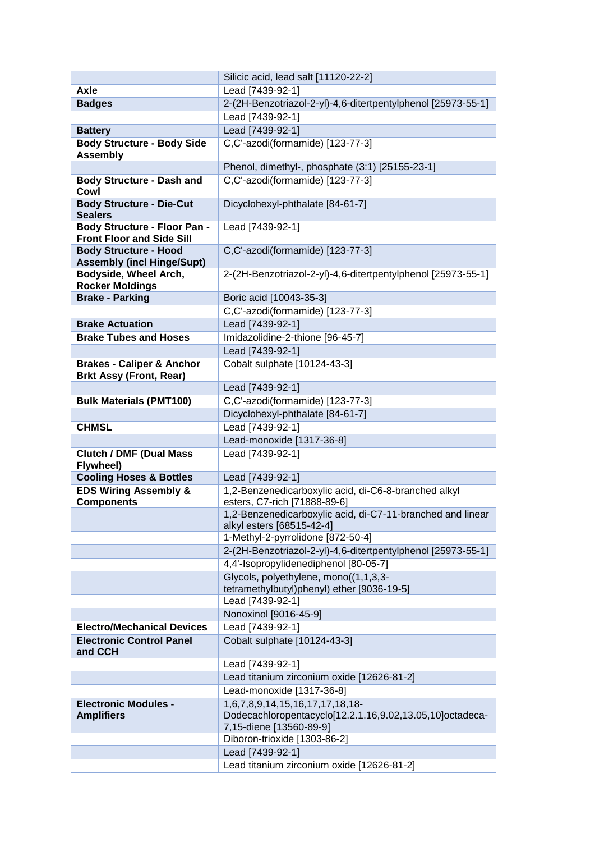|                                                                         | Silicic acid, lead salt [11120-22-2]                                                                                   |
|-------------------------------------------------------------------------|------------------------------------------------------------------------------------------------------------------------|
| Axle                                                                    | Lead [7439-92-1]                                                                                                       |
| <b>Badges</b>                                                           | 2-(2H-Benzotriazol-2-yl)-4,6-ditertpentylphenol [25973-55-1]                                                           |
|                                                                         | Lead [7439-92-1]                                                                                                       |
| <b>Battery</b>                                                          | Lead [7439-92-1]                                                                                                       |
| <b>Body Structure - Body Side</b><br><b>Assembly</b>                    | C,C'-azodi(formamide) [123-77-3]                                                                                       |
|                                                                         | Phenol, dimethyl-, phosphate (3:1) [25155-23-1]                                                                        |
| <b>Body Structure - Dash and</b>                                        | C,C'-azodi(formamide) [123-77-3]                                                                                       |
| Cowl                                                                    |                                                                                                                        |
| <b>Body Structure - Die-Cut</b><br><b>Sealers</b>                       | Dicyclohexyl-phthalate [84-61-7]                                                                                       |
| <b>Body Structure - Floor Pan -</b><br><b>Front Floor and Side Sill</b> | Lead [7439-92-1]                                                                                                       |
| <b>Body Structure - Hood</b><br><b>Assembly (incl Hinge/Supt)</b>       | C,C'-azodi(formamide) [123-77-3]                                                                                       |
| Bodyside, Wheel Arch,<br><b>Rocker Moldings</b>                         | 2-(2H-Benzotriazol-2-yl)-4,6-ditertpentylphenol [25973-55-1]                                                           |
| <b>Brake - Parking</b>                                                  | Boric acid [10043-35-3]                                                                                                |
|                                                                         | C,C'-azodi(formamide) [123-77-3]                                                                                       |
| <b>Brake Actuation</b>                                                  | Lead [7439-92-1]                                                                                                       |
| <b>Brake Tubes and Hoses</b>                                            | Imidazolidine-2-thione [96-45-7]                                                                                       |
|                                                                         | Lead [7439-92-1]                                                                                                       |
| <b>Brakes - Caliper &amp; Anchor</b><br><b>Brkt Assy (Front, Rear)</b>  | Cobalt sulphate [10124-43-3]                                                                                           |
|                                                                         | Lead [7439-92-1]                                                                                                       |
| <b>Bulk Materials (PMT100)</b>                                          | C,C'-azodi(formamide) [123-77-3]                                                                                       |
|                                                                         | Dicyclohexyl-phthalate [84-61-7]                                                                                       |
| <b>CHMSL</b>                                                            | Lead [7439-92-1]                                                                                                       |
|                                                                         | Lead-monoxide [1317-36-8]                                                                                              |
| <b>Clutch / DMF (Dual Mass)</b><br>Flywheel)                            | Lead [7439-92-1]                                                                                                       |
| <b>Cooling Hoses &amp; Bottles</b>                                      | Lead [7439-92-1]                                                                                                       |
| <b>EDS Wiring Assembly &amp;</b>                                        | 1,2-Benzenedicarboxylic acid, di-C6-8-branched alkyl                                                                   |
| <b>Components</b>                                                       | esters, C7-rich [71888-89-6]                                                                                           |
|                                                                         | 1,2-Benzenedicarboxylic acid, di-C7-11-branched and linear<br>alkyl esters [68515-42-4]                                |
|                                                                         | 1-Methyl-2-pyrrolidone [872-50-4]                                                                                      |
|                                                                         | 2-(2H-Benzotriazol-2-yl)-4,6-ditertpentylphenol [25973-55-1]                                                           |
|                                                                         | 4,4'-Isopropylidenediphenol [80-05-7]                                                                                  |
|                                                                         | Glycols, polyethylene, mono((1,1,3,3-<br>tetramethylbutyl)phenyl) ether [9036-19-5]                                    |
|                                                                         | Lead [7439-92-1]                                                                                                       |
|                                                                         | Nonoxinol [9016-45-9]                                                                                                  |
| <b>Electro/Mechanical Devices</b>                                       | Lead [7439-92-1]                                                                                                       |
| <b>Electronic Control Panel</b><br>and CCH                              | Cobalt sulphate [10124-43-3]                                                                                           |
|                                                                         | Lead [7439-92-1]                                                                                                       |
|                                                                         | Lead titanium zirconium oxide [12626-81-2]                                                                             |
|                                                                         | Lead-monoxide [1317-36-8]                                                                                              |
| <b>Electronic Modules -</b><br><b>Amplifiers</b>                        | 1,6,7,8,9,14,15,16,17,17,18,18-<br>Dodecachloropentacyclo[12.2.1.16,9.02,13.05,10]octadeca-<br>7,15-diene [13560-89-9] |
|                                                                         | Diboron-trioxide [1303-86-2]                                                                                           |
|                                                                         | Lead [7439-92-1]                                                                                                       |
|                                                                         | Lead titanium zirconium oxide [12626-81-2]                                                                             |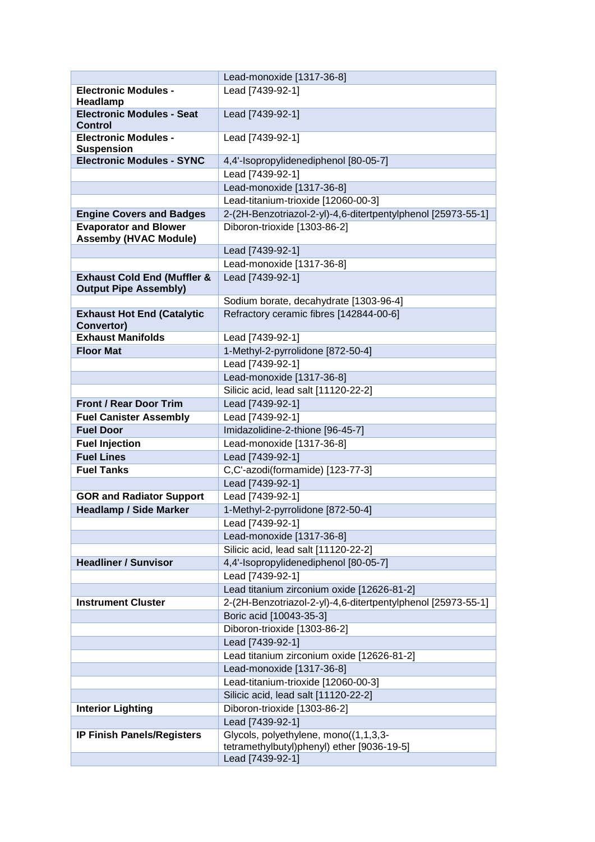|                                                                        | Lead-monoxide [1317-36-8]                                      |
|------------------------------------------------------------------------|----------------------------------------------------------------|
| <b>Electronic Modules -</b>                                            | Lead [7439-92-1]                                               |
| Headlamp                                                               |                                                                |
| <b>Electronic Modules - Seat</b><br>Control                            | Lead [7439-92-1]                                               |
| <b>Electronic Modules -</b><br><b>Suspension</b>                       | Lead [7439-92-1]                                               |
| <b>Electronic Modules - SYNC</b>                                       | 4,4'-Isopropylidenediphenol [80-05-7]                          |
|                                                                        | Lead [7439-92-1]                                               |
|                                                                        | Lead-monoxide [1317-36-8]                                      |
|                                                                        | Lead-titanium-trioxide [12060-00-3]                            |
| <b>Engine Covers and Badges</b>                                        | 2-(2H-Benzotriazol-2-yl)-4,6-ditertpentylphenol [25973-55-1]   |
| <b>Evaporator and Blower</b><br><b>Assemby (HVAC Module)</b>           | Diboron-trioxide [1303-86-2]                                   |
|                                                                        | Lead [7439-92-1]                                               |
|                                                                        | Lead-monoxide [1317-36-8]                                      |
| <b>Exhaust Cold End (Muffler &amp;</b><br><b>Output Pipe Assembly)</b> | Lead [7439-92-1]                                               |
|                                                                        | Sodium borate, decahydrate [1303-96-4]                         |
| <b>Exhaust Hot End (Catalytic</b><br>Convertor)                        | Refractory ceramic fibres [142844-00-6]                        |
| <b>Exhaust Manifolds</b>                                               | Lead [7439-92-1]                                               |
| <b>Floor Mat</b>                                                       | 1-Methyl-2-pyrrolidone [872-50-4]                              |
|                                                                        | Lead [7439-92-1]                                               |
|                                                                        | Lead-monoxide [1317-36-8]                                      |
|                                                                        | Silicic acid, lead salt [11120-22-2]                           |
| <b>Front / Rear Door Trim</b>                                          | Lead [7439-92-1]                                               |
| <b>Fuel Canister Assembly</b>                                          | Lead [7439-92-1]                                               |
| <b>Fuel Door</b>                                                       | Imidazolidine-2-thione [96-45-7]                               |
| <b>Fuel Injection</b>                                                  | Lead-monoxide [1317-36-8]                                      |
| <b>Fuel Lines</b>                                                      | Lead [7439-92-1]                                               |
| <b>Fuel Tanks</b>                                                      | C,C'-azodi(formamide) [123-77-3]                               |
|                                                                        | Lead [7439-92-1]                                               |
| <b>GOR and Radiator Support</b>                                        | Lead [7439-92-1]                                               |
| <b>Headlamp / Side Marker</b>                                          | 1-Methyl-2-pyrrolidone [872-50-4]                              |
|                                                                        | Lead [7439-92-1]                                               |
|                                                                        | Lead-monoxide [1317-36-8]                                      |
|                                                                        | Silicic acid, lead salt [11120-22-2]                           |
| <b>Headliner / Sunvisor</b>                                            | 4,4'-Isopropylidenediphenol [80-05-7]                          |
|                                                                        | Lead [7439-92-1]                                               |
|                                                                        | Lead titanium zirconium oxide [12626-81-2]                     |
| <b>Instrument Cluster</b>                                              | 2-(2H-Benzotriazol-2-yl)-4,6-ditertpentylphenol [25973-55-1]   |
|                                                                        | Boric acid [10043-35-3]                                        |
|                                                                        | Diboron-trioxide [1303-86-2]                                   |
|                                                                        | Lead [7439-92-1]                                               |
|                                                                        | Lead titanium zirconium oxide [12626-81-2]                     |
|                                                                        | Lead-monoxide [1317-36-8]                                      |
|                                                                        | Lead-titanium-trioxide [12060-00-3]                            |
|                                                                        | Silicic acid, lead salt [11120-22-2]                           |
| <b>Interior Lighting</b>                                               | Diboron-trioxide [1303-86-2]                                   |
|                                                                        | Lead [7439-92-1]                                               |
| <b>IP Finish Panels/Registers</b>                                      | Glycols, polyethylene, mono((1,1,3,3-                          |
|                                                                        | tetramethylbutyl)phenyl) ether [9036-19-5]<br>Lead [7439-92-1] |
|                                                                        |                                                                |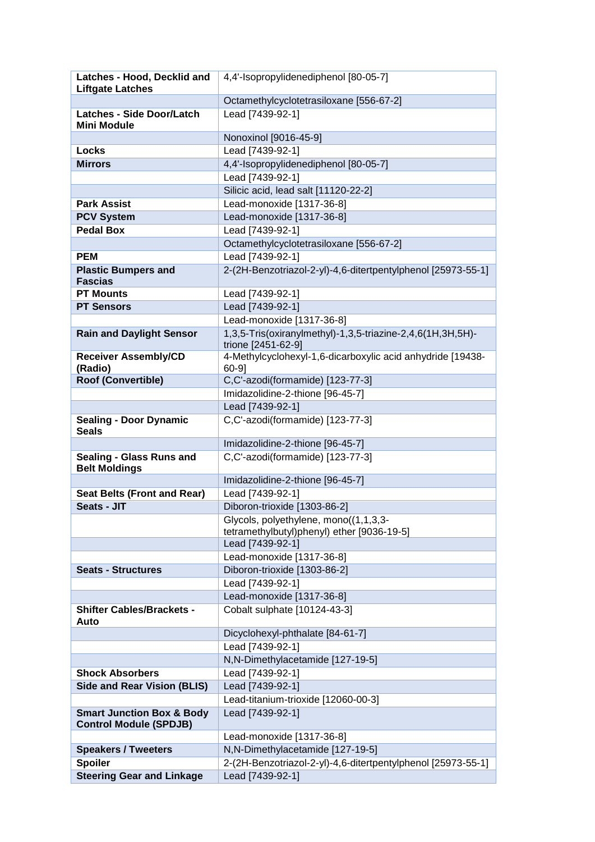| Latches - Hood, Decklid and                                           | 4,4'-Isopropylidenediphenol [80-05-7]                                            |
|-----------------------------------------------------------------------|----------------------------------------------------------------------------------|
| <b>Liftgate Latches</b>                                               |                                                                                  |
| <b>Latches - Side Door/Latch</b>                                      | Octamethylcyclotetrasiloxane [556-67-2]<br>Lead [7439-92-1]                      |
| <b>Mini Module</b>                                                    |                                                                                  |
|                                                                       | Nonoxinol [9016-45-9]                                                            |
| Locks                                                                 | Lead [7439-92-1]                                                                 |
| <b>Mirrors</b>                                                        | 4,4'-Isopropylidenediphenol [80-05-7]                                            |
|                                                                       | Lead [7439-92-1]                                                                 |
|                                                                       | Silicic acid, lead salt [11120-22-2]                                             |
| <b>Park Assist</b>                                                    | Lead-monoxide [1317-36-8]                                                        |
| <b>PCV System</b>                                                     | Lead-monoxide [1317-36-8]                                                        |
| <b>Pedal Box</b>                                                      | Lead [7439-92-1]                                                                 |
|                                                                       | Octamethylcyclotetrasiloxane [556-67-2]                                          |
| <b>PEM</b>                                                            | Lead [7439-92-1]                                                                 |
| <b>Plastic Bumpers and</b><br><b>Fascias</b>                          | 2-(2H-Benzotriazol-2-yl)-4,6-ditertpentylphenol [25973-55-1]                     |
| <b>PT Mounts</b>                                                      | Lead [7439-92-1]                                                                 |
| <b>PT Sensors</b>                                                     | Lead [7439-92-1]                                                                 |
|                                                                       | Lead-monoxide [1317-36-8]                                                        |
| <b>Rain and Daylight Sensor</b>                                       | 1,3,5-Tris(oxiranylmethyl)-1,3,5-triazine-2,4,6(1H,3H,5H)-<br>trione [2451-62-9] |
| <b>Receiver Assembly/CD</b><br>(Radio)                                | 4-Methylcyclohexyl-1,6-dicarboxylic acid anhydride [19438-<br>$60-9$ ]           |
| Roof (Convertible)                                                    | C,C'-azodi(formamide) [123-77-3]                                                 |
|                                                                       | Imidazolidine-2-thione [96-45-7]                                                 |
|                                                                       | Lead [7439-92-1]                                                                 |
| <b>Sealing - Door Dynamic</b><br><b>Seals</b>                         | C,C'-azodi(formamide) [123-77-3]                                                 |
|                                                                       | Imidazolidine-2-thione [96-45-7]                                                 |
| Sealing - Glass Runs and<br><b>Belt Moldings</b>                      | C,C'-azodi(formamide) [123-77-3]                                                 |
|                                                                       | Imidazolidine-2-thione [96-45-7]                                                 |
| <b>Seat Belts (Front and Rear)</b>                                    | Lead [7439-92-1]                                                                 |
| Seats - JIT                                                           | Diboron-trioxide [1303-86-2]                                                     |
|                                                                       | Glycols, polyethylene, mono((1,1,3,3-                                            |
|                                                                       | tetramethylbutyl)phenyl) ether [9036-19-5]                                       |
|                                                                       | Lead [7439-92-1]                                                                 |
|                                                                       | Lead-monoxide [1317-36-8]                                                        |
| <b>Seats - Structures</b>                                             | Diboron-trioxide [1303-86-2]                                                     |
|                                                                       | Lead [7439-92-1]                                                                 |
|                                                                       | Lead-monoxide [1317-36-8]                                                        |
| <b>Shifter Cables/Brackets -</b><br>Auto                              | Cobalt sulphate [10124-43-3]                                                     |
|                                                                       | Dicyclohexyl-phthalate [84-61-7]                                                 |
|                                                                       | Lead [7439-92-1]                                                                 |
|                                                                       | N,N-Dimethylacetamide [127-19-5]                                                 |
| <b>Shock Absorbers</b>                                                | Lead [7439-92-1]                                                                 |
| <b>Side and Rear Vision (BLIS)</b>                                    | Lead [7439-92-1]                                                                 |
|                                                                       | Lead-titanium-trioxide [12060-00-3]                                              |
| <b>Smart Junction Box &amp; Body</b><br><b>Control Module (SPDJB)</b> | Lead [7439-92-1]                                                                 |
|                                                                       | Lead-monoxide [1317-36-8]                                                        |
| <b>Speakers / Tweeters</b>                                            | N,N-Dimethylacetamide [127-19-5]                                                 |
| <b>Spoiler</b>                                                        | 2-(2H-Benzotriazol-2-yl)-4,6-ditertpentylphenol [25973-55-1]                     |
| <b>Steering Gear and Linkage</b>                                      | Lead [7439-92-1]                                                                 |